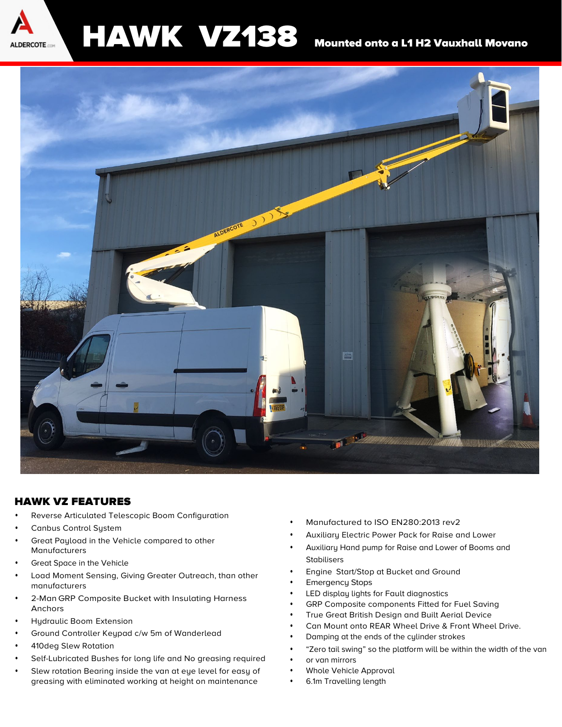

# HAWK VZ138 Mounted onto a L1 H2 Vauxhall Movano



#### HAWK VZ FEATURES

- **•** Reverse Articulated Telescopic Boom Configuration
- **•** Canbus Control System
- **•** Great Payload in the Vehicle compared to other Manufacturers
- **•** Great Space in the Vehicle
- **•** Load Moment Sensing, Giving Greater Outreach, than other manufacturers
- **•** 2-Man GRP Composite Bucket with Insulating Harness Anchors
- **•** Hydraulic Boom Extension
- **•** Ground Controller Keypad c/w 5m of Wanderlead
- **•** 410deg Slew Rotation
- **•** Self-Lubricated Bushes for long life and No greasing required
- **•** Slew rotation Bearing inside the van at eye level for easy of greasing with eliminated working at height on maintenance
- **•** Manufactured to ISO EN280:2013 rev2
- **•** Auxiliary Electric Power Pack for Raise and Lower
- **•** Auxiliary Hand pump for Raise and Lower of Booms and Stabilisers
- **•** Engine Start/Stop at Bucket and Ground
- **•** Emergency Stops
- **•** LED display lights for Fault diagnostics
- **•** GRP Composite components Fitted for Fuel Saving
- **•** True Great British Design and Built Aerial Device
- **•** Can Mount onto REAR Wheel Drive & Front Wheel Drive.
- **•** Damping at the ends of the cylinder strokes
- **•** "Zero tail swing" so the platform will be within the width of the van
- **•** or van mirrors
- **•** Whole Vehicle Approval
- **•** 6.1m Travelling length